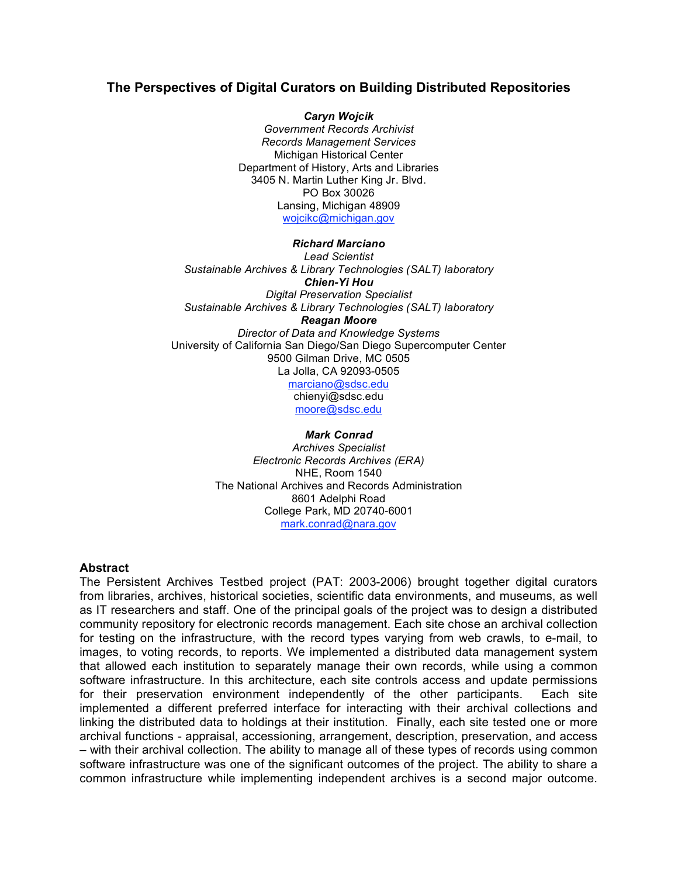# **The Perspectives of Digital Curators on Building Distributed Repositories**

*Caryn Wojcik Government Records Archivist Records Management Services* Michigan Historical Center Department of History, Arts and Libraries 3405 N. Martin Luther King Jr. Blvd. PO Box 30026 Lansing, Michigan 48909 wojcikc@michigan.gov

#### *Richard Marciano*

*Lead Scientist Sustainable Archives & Library Technologies (SALT) laboratory Chien-Yi Hou Digital Preservation Specialist Sustainable Archives & Library Technologies (SALT) laboratory Reagan Moore Director of Data and Knowledge Systems* University of California San Diego/San Diego Supercomputer Center 9500 Gilman Drive, MC 0505 La Jolla, CA 92093-0505 marciano@sdsc.edu chienyi@sdsc.edu moore@sdsc.edu

*Mark Conrad Archives Specialist Electronic Records Archives (ERA)* NHE, Room 1540 The National Archives and Records Administration 8601 Adelphi Road

> College Park, MD 20740-6001 mark.conrad@nara.gov

### **Abstract**

The Persistent Archives Testbed project (PAT: 2003-2006) brought together digital curators from libraries, archives, historical societies, scientific data environments, and museums, as well as IT researchers and staff. One of the principal goals of the project was to design a distributed community repository for electronic records management. Each site chose an archival collection for testing on the infrastructure, with the record types varying from web crawls, to e-mail, to images, to voting records, to reports. We implemented a distributed data management system that allowed each institution to separately manage their own records, while using a common software infrastructure. In this architecture, each site controls access and update permissions for their preservation environment independently of the other participants. Each site implemented a different preferred interface for interacting with their archival collections and linking the distributed data to holdings at their institution. Finally, each site tested one or more archival functions - appraisal, accessioning, arrangement, description, preservation, and access – with their archival collection. The ability to manage all of these types of records using common software infrastructure was one of the significant outcomes of the project. The ability to share a common infrastructure while implementing independent archives is a second major outcome.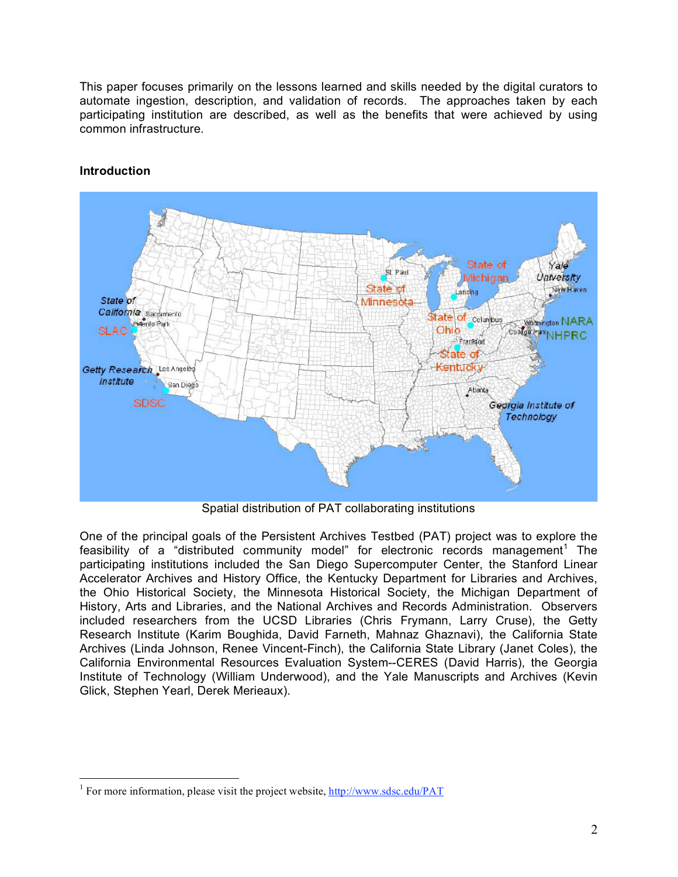This paper focuses primarily on the lessons learned and skills needed by the digital curators to automate ingestion, description, and validation of records. The approaches taken by each participating institution are described, as well as the benefits that were achieved by using common infrastructure.



# **Introduction**

Spatial distribution of PAT collaborating institutions

One of the principal goals of the Persistent Archives Testbed (PAT) project was to explore the feasibility of a "distributed community model" for electronic records management<sup>1</sup> The participating institutions included the San Diego Supercomputer Center, the Stanford Linear Accelerator Archives and History Office, the Kentucky Department for Libraries and Archives, the Ohio Historical Society, the Minnesota Historical Society, the Michigan Department of History, Arts and Libraries, and the National Archives and Records Administration. Observers included researchers from the UCSD Libraries (Chris Frymann, Larry Cruse), the Getty Research Institute (Karim Boughida, David Farneth, Mahnaz Ghaznavi), the California State Archives (Linda Johnson, Renee Vincent-Finch), the California State Library (Janet Coles), the California Environmental Resources Evaluation System--CERES (David Harris), the Georgia Institute of Technology (William Underwood), and the Yale Manuscripts and Archives (Kevin Glick, Stephen Yearl, Derek Merieaux).

<sup>&</sup>lt;sup>1</sup> For more information, please visit the project website,  $\frac{http://www.sdsc.edu/PATH}{http://www.sdsc.edu/PATH}$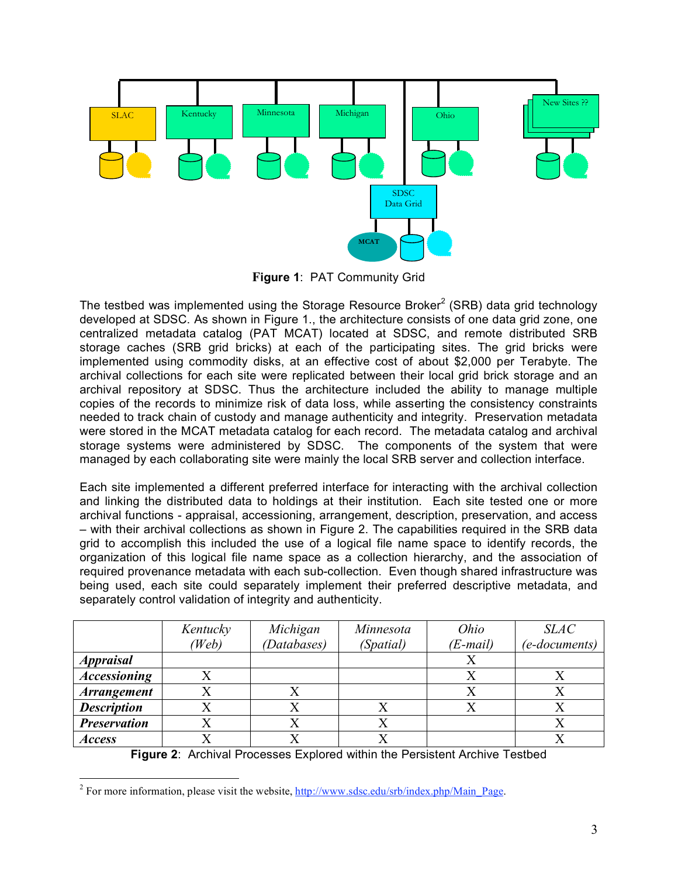![](_page_2_Figure_0.jpeg)

**Figure 1**: PAT Community Grid

The testbed was implemented using the Storage Resource Broker<sup>2</sup> (SRB) data grid technology developed at SDSC. As shown in Figure 1., the architecture consists of one data grid zone, one centralized metadata catalog (PAT MCAT) located at SDSC, and remote distributed SRB storage caches (SRB grid bricks) at each of the participating sites. The grid bricks were implemented using commodity disks, at an effective cost of about \$2,000 per Terabyte. The archival collections for each site were replicated between their local grid brick storage and an archival repository at SDSC. Thus the architecture included the ability to manage multiple copies of the records to minimize risk of data loss, while asserting the consistency constraints needed to track chain of custody and manage authenticity and integrity. Preservation metadata were stored in the MCAT metadata catalog for each record. The metadata catalog and archival storage systems were administered by SDSC. The components of the system that were managed by each collaborating site were mainly the local SRB server and collection interface.

Each site implemented a different preferred interface for interacting with the archival collection and linking the distributed data to holdings at their institution. Each site tested one or more archival functions - appraisal, accessioning, arrangement, description, preservation, and access – with their archival collections as shown in Figure 2. The capabilities required in the SRB data grid to accomplish this included the use of a logical file name space to identify records, the organization of this logical file name space as a collection hierarchy, and the association of required provenance metadata with each sub-collection. Even though shared infrastructure was being used, each site could separately implement their preferred descriptive metadata, and separately control validation of integrity and authenticity.

|                     | Kentucky<br>(Web | Michigan<br>(Databases) | Minnesota<br>(Spatial) | Ohio<br>$(E-mail)$ | <b>SLAC</b><br>(e-documents) |
|---------------------|------------------|-------------------------|------------------------|--------------------|------------------------------|
| <b>Appraisal</b>    |                  |                         |                        |                    |                              |
| <b>Accessioning</b> |                  |                         |                        |                    |                              |
| <b>Arrangement</b>  |                  |                         |                        |                    |                              |
| <b>Description</b>  |                  |                         |                        |                    |                              |
| <b>Preservation</b> |                  |                         |                        |                    |                              |
| <b>Access</b>       |                  |                         |                        |                    |                              |

**Figure 2**: Archival Processes Explored within the Persistent Archive Testbed

<sup>&</sup>lt;sup>2</sup> For more information, please visit the website, http://www.sdsc.edu/srb/index.php/Main\_Page.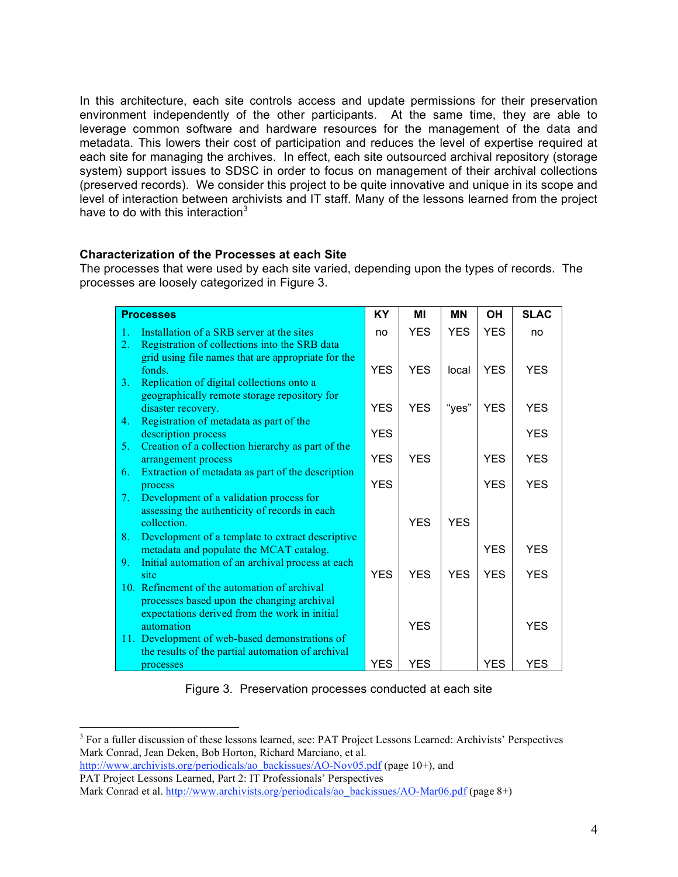In this architecture, each site controls access and update permissions for their preservation environment independently of the other participants. At the same time, they are able to leverage common software and hardware resources for the management of the data and metadata. This lowers their cost of participation and reduces the level of expertise required at each site for managing the archives. In effect, each site outsourced archival repository (storage system) support issues to SDSC in order to focus on management of their archival collections (preserved records). We consider this project to be quite innovative and unique in its scope and level of interaction between archivists and IT staff. Many of the lessons learned from the project have to do with this interaction $3$ 

## **Characterization of the Processes at each Site**

The processes that were used by each site varied, depending upon the types of records. The processes are loosely categorized in Figure 3.

| <b>Processes</b>                |                                                                                                     | <b>KY</b>  | ΜI         | <b>MN</b>  | <b>OH</b>  | <b>SLAC</b> |
|---------------------------------|-----------------------------------------------------------------------------------------------------|------------|------------|------------|------------|-------------|
| 1.                              | Installation of a SRB server at the sites                                                           | no         | <b>YFS</b> | <b>YES</b> | <b>YFS</b> | no          |
| 2.                              | Registration of collections into the SRB data                                                       |            |            |            |            |             |
|                                 | grid using file names that are appropriate for the                                                  |            |            |            |            |             |
| 3.                              | fonds.                                                                                              | <b>YES</b> | <b>YFS</b> | local      | <b>YES</b> | <b>YES</b>  |
|                                 | Replication of digital collections onto a<br>geographically remote storage repository for           |            |            |            |            |             |
|                                 | disaster recovery.                                                                                  | <b>YFS</b> | <b>YES</b> | "yes"      | <b>YES</b> | <b>YES</b>  |
| 4.                              | Registration of metadata as part of the                                                             |            |            |            |            |             |
|                                 | description process                                                                                 | <b>YES</b> |            |            |            | <b>YES</b>  |
| 5.                              | Creation of a collection hierarchy as part of the                                                   |            |            |            |            |             |
| 6.                              | arrangement process<br>Extraction of metadata as part of the description                            | <b>YES</b> | <b>YES</b> |            | <b>YFS</b> | <b>YFS</b>  |
|                                 | process                                                                                             | <b>YFS</b> |            |            | <b>YFS</b> | <b>YES</b>  |
| $7_{\scriptscriptstyle{\star}}$ | Development of a validation process for                                                             |            |            |            |            |             |
|                                 | assessing the authenticity of records in each                                                       |            |            |            |            |             |
|                                 | collection.                                                                                         |            | <b>YES</b> | <b>YES</b> |            |             |
| 8.                              | Development of a template to extract descriptive                                                    |            |            |            |            |             |
| 9.                              | metadata and populate the MCAT catalog.<br>Initial automation of an archival process at each        |            |            |            | <b>YES</b> | <b>YES</b>  |
|                                 | site                                                                                                | <b>YFS</b> | <b>YFS</b> | <b>YFS</b> | <b>YFS</b> | <b>YES</b>  |
|                                 | 10. Refinement of the automation of archival                                                        |            |            |            |            |             |
|                                 | processes based upon the changing archival                                                          |            |            |            |            |             |
|                                 | expectations derived from the work in initial                                                       |            |            |            |            |             |
|                                 | automation                                                                                          |            | <b>YFS</b> |            |            | <b>YES</b>  |
|                                 | 11. Development of web-based demonstrations of<br>the results of the partial automation of archival |            |            |            |            |             |
|                                 | processes                                                                                           | <b>YES</b> | <b>YES</b> |            | <b>YES</b> | <b>YES</b>  |

Figure 3. Preservation processes conducted at each site

PAT Project Lessons Learned, Part 2: IT Professionals' Perspectives

 <sup>3</sup> For <sup>a</sup> fuller discussion of these lessons learned, see: PAT Project Lessons Learned: Archivists' Perspectives Mark Conrad, Jean Deken, Bob Horton, Richard Marciano, et al.

http://www.archivists.org/periodicals/ao\_backissues/AO-Nov05.pdf (page 10+), and

Mark Conrad et al. http://www.archivists.org/periodicals/ao\_backissues/AO-Mar06.pdf (page 8+)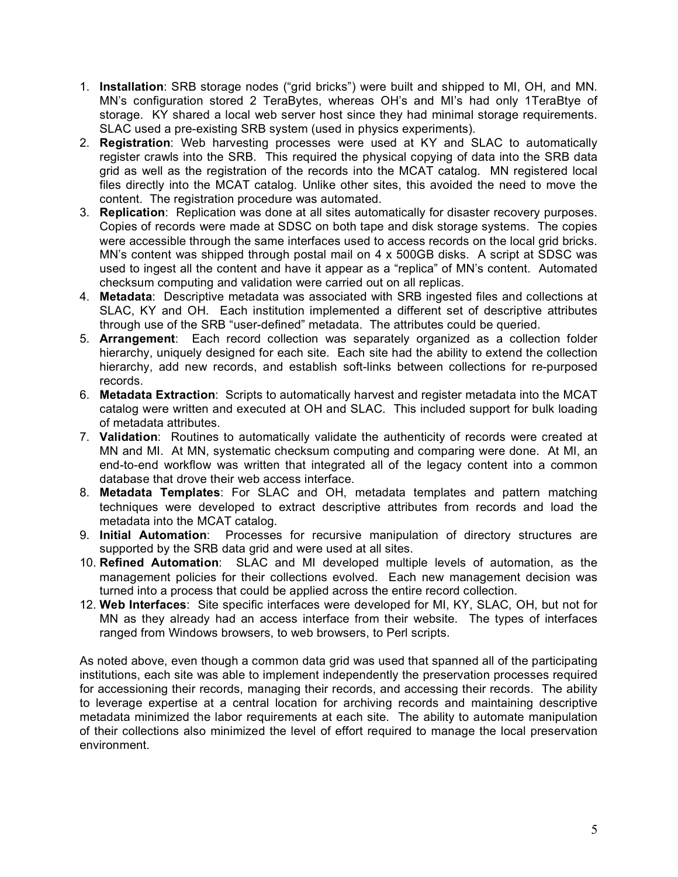- 1. **Installation**: SRB storage nodes ("grid bricks") were built and shipped to MI, OH, and MN. MN's configuration stored 2 TeraBytes, whereas OH's and MI's had only 1TeraBtye of storage. KY shared a local web server host since they had minimal storage requirements. SLAC used a pre-existing SRB system (used in physics experiments).
- 2. **Registration**: Web harvesting processes were used at KY and SLAC to automatically register crawls into the SRB. This required the physical copying of data into the SRB data grid as well as the registration of the records into the MCAT catalog. MN registered local files directly into the MCAT catalog. Unlike other sites, this avoided the need to move the content. The registration procedure was automated.
- 3. **Replication**: Replication was done at all sites automatically for disaster recovery purposes. Copies of records were made at SDSC on both tape and disk storage systems. The copies were accessible through the same interfaces used to access records on the local grid bricks. MN's content was shipped through postal mail on 4 x 500GB disks. A script at SDSC was used to ingest all the content and have it appear as a "replica" of MN's content. Automated checksum computing and validation were carried out on all replicas.
- 4. **Metadata**: Descriptive metadata was associated with SRB ingested files and collections at SLAC, KY and OH. Each institution implemented a different set of descriptive attributes through use of the SRB "user-defined" metadata. The attributes could be queried.
- 5. **Arrangement**: Each record collection was separately organized as a collection folder hierarchy, uniquely designed for each site. Each site had the ability to extend the collection hierarchy, add new records, and establish soft-links between collections for re-purposed records.
- 6. **Metadata Extraction**: Scripts to automatically harvest and register metadata into the MCAT catalog were written and executed at OH and SLAC. This included support for bulk loading of metadata attributes.
- 7. **Validation**: Routines to automatically validate the authenticity of records were created at MN and MI. At MN, systematic checksum computing and comparing were done. At MI, an end-to-end workflow was written that integrated all of the legacy content into a common database that drove their web access interface.
- 8. **Metadata Templates**: For SLAC and OH, metadata templates and pattern matching techniques were developed to extract descriptive attributes from records and load the metadata into the MCAT catalog.
- 9. **Initial Automation**: Processes for recursive manipulation of directory structures are supported by the SRB data grid and were used at all sites.
- 10. **Refined Automation**: SLAC and MI developed multiple levels of automation, as the management policies for their collections evolved. Each new management decision was turned into a process that could be applied across the entire record collection.
- 12. **Web Interfaces**: Site specific interfaces were developed for MI, KY, SLAC, OH, but not for MN as they already had an access interface from their website. The types of interfaces ranged from Windows browsers, to web browsers, to Perl scripts.

As noted above, even though a common data grid was used that spanned all of the participating institutions, each site was able to implement independently the preservation processes required for accessioning their records, managing their records, and accessing their records. The ability to leverage expertise at a central location for archiving records and maintaining descriptive metadata minimized the labor requirements at each site. The ability to automate manipulation of their collections also minimized the level of effort required to manage the local preservation environment.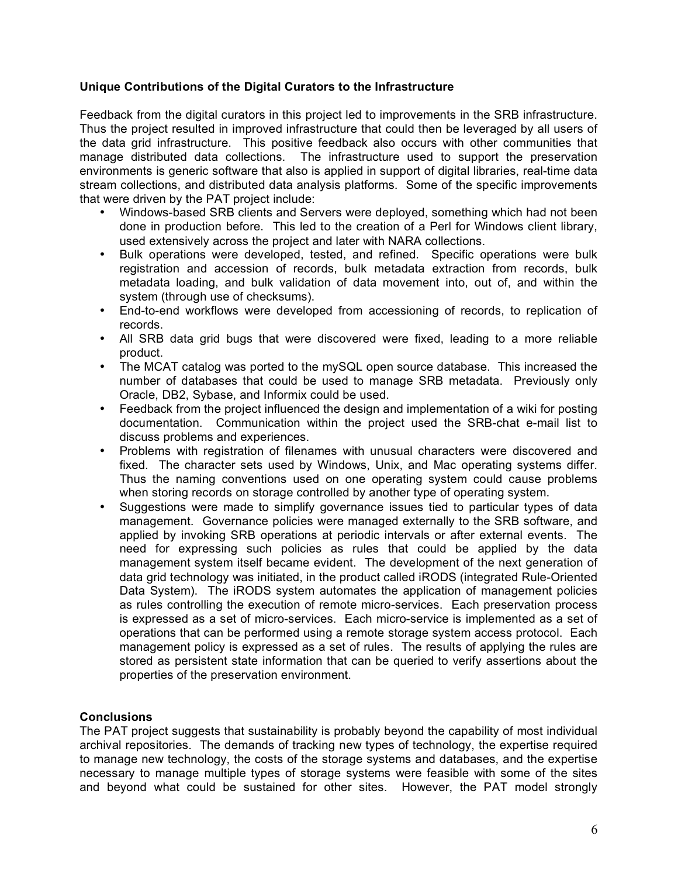# **Unique Contributions of the Digital Curators to the Infrastructure**

Feedback from the digital curators in this project led to improvements in the SRB infrastructure. Thus the project resulted in improved infrastructure that could then be leveraged by all users of the data grid infrastructure. This positive feedback also occurs with other communities that manage distributed data collections. The infrastructure used to support the preservation environments is generic software that also is applied in support of digital libraries, real-time data stream collections, and distributed data analysis platforms. Some of the specific improvements that were driven by the PAT project include:

- Windows-based SRB clients and Servers were deployed, something which had not been done in production before. This led to the creation of a Perl for Windows client library, used extensively across the project and later with NARA collections.
- Bulk operations were developed, tested, and refined. Specific operations were bulk registration and accession of records, bulk metadata extraction from records, bulk metadata loading, and bulk validation of data movement into, out of, and within the system (through use of checksums).
- End-to-end workflows were developed from accessioning of records, to replication of records.
- All SRB data grid bugs that were discovered were fixed, leading to a more reliable product.
- The MCAT catalog was ported to the mySQL open source database. This increased the number of databases that could be used to manage SRB metadata. Previously only Oracle, DB2, Sybase, and Informix could be used.
- Feedback from the project influenced the design and implementation of a wiki for posting documentation. Communication within the project used the SRB-chat e-mail list to discuss problems and experiences.
- Problems with registration of filenames with unusual characters were discovered and fixed. The character sets used by Windows, Unix, and Mac operating systems differ. Thus the naming conventions used on one operating system could cause problems when storing records on storage controlled by another type of operating system.
- Suggestions were made to simplify governance issues tied to particular types of data management. Governance policies were managed externally to the SRB software, and applied by invoking SRB operations at periodic intervals or after external events. The need for expressing such policies as rules that could be applied by the data management system itself became evident. The development of the next generation of data grid technology was initiated, in the product called iRODS (integrated Rule-Oriented Data System). The iRODS system automates the application of management policies as rules controlling the execution of remote micro-services. Each preservation process is expressed as a set of micro-services. Each micro-service is implemented as a set of operations that can be performed using a remote storage system access protocol. Each management policy is expressed as a set of rules. The results of applying the rules are stored as persistent state information that can be queried to verify assertions about the properties of the preservation environment.

## **Conclusions**

The PAT project suggests that sustainability is probably beyond the capability of most individual archival repositories. The demands of tracking new types of technology, the expertise required to manage new technology, the costs of the storage systems and databases, and the expertise necessary to manage multiple types of storage systems were feasible with some of the sites and beyond what could be sustained for other sites. However, the PAT model strongly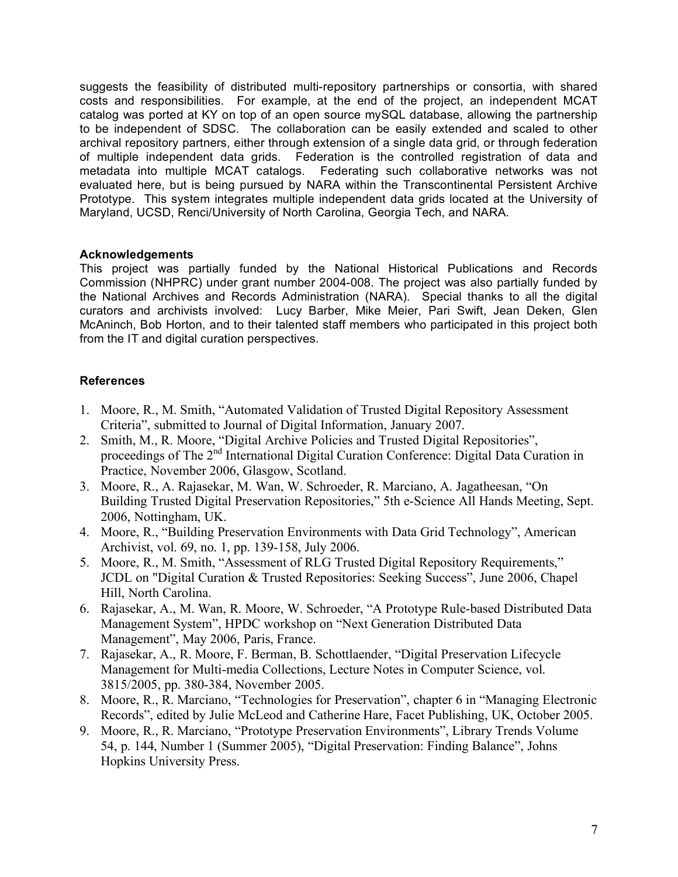suggests the feasibility of distributed multi-repository partnerships or consortia, with shared costs and responsibilities. For example, at the end of the project, an independent MCAT catalog was ported at KY on top of an open source mySQL database, allowing the partnership to be independent of SDSC. The collaboration can be easily extended and scaled to other archival repository partners, either through extension of a single data grid, or through federation of multiple independent data grids. Federation is the controlled registration of data and metadata into multiple MCAT catalogs. Federating such collaborative networks was not evaluated here, but is being pursued by NARA within the Transcontinental Persistent Archive Prototype. This system integrates multiple independent data grids located at the University of Maryland, UCSD, Renci/University of North Carolina, Georgia Tech, and NARA.

## **Acknowledgements**

This project was partially funded by the National Historical Publications and Records Commission (NHPRC) under grant number 2004-008. The project was also partially funded by the National Archives and Records Administration (NARA). Special thanks to all the digital curators and archivists involved: Lucy Barber, Mike Meier, Pari Swift, Jean Deken, Glen McAninch, Bob Horton, and to their talented staff members who participated in this project both from the IT and digital curation perspectives.

## **References**

- 1. Moore, R., M. Smith, "Automated Validation of Trusted Digital Repository Assessment Criteria", submitted to Journal of Digital Information, January 2007.
- 2. Smith, M., R. Moore, "Digital Archive Policies and Trusted Digital Repositories", proceedings of The 2<sup>nd</sup> International Digital Curation Conference: Digital Data Curation in Practice, November 2006, Glasgow, Scotland.
- 3. Moore, R., A. Rajasekar, M. Wan, W. Schroeder, R. Marciano, A. Jagatheesan, "On Building Trusted Digital Preservation Repositories," 5th e-Science All Hands Meeting, Sept. 2006, Nottingham, UK.
- 4. Moore, R., "Building Preservation Environments with Data Grid Technology", American Archivist, vol. 69, no. 1, pp. 139-158, July 2006.
- 5. Moore, R., M. Smith, "Assessment of RLG Trusted Digital Repository Requirements," JCDL on "Digital Curation & Trusted Repositories: Seeking Success", June 2006, Chapel Hill, North Carolina.
- 6. Rajasekar, A., M. Wan, R. Moore, W. Schroeder, "A Prototype Rule-based Distributed Data Management System", HPDC workshop on "Next Generation Distributed Data Management", May 2006, Paris, France.
- 7. Rajasekar, A., R. Moore, F. Berman, B. Schottlaender, "Digital Preservation Lifecycle Management for Multi-media Collections, Lecture Notes in Computer Science, vol. 3815/2005, pp. 380-384, November 2005.
- 8. Moore, R., R. Marciano, "Technologies for Preservation", chapter 6 in "Managing Electronic Records", edited by Julie McLeod and Catherine Hare, Facet Publishing, UK, October 2005.
- 9. Moore, R., R. Marciano, "Prototype Preservation Environments", Library Trends Volume 54, p. 144, Number 1 (Summer 2005), "Digital Preservation: Finding Balance", Johns Hopkins University Press.